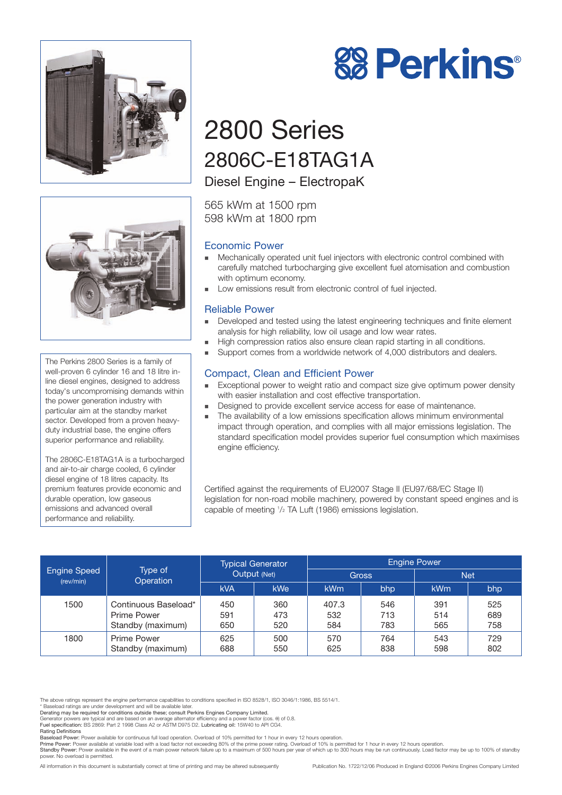



The Perkins 2800 Series is a family of well-proven 6 cylinder 16 and 18 litre inline diesel engines, designed to address today's uncompromising demands within the power generation industry with particular aim at the standby market sector. Developed from a proven heavyduty industrial base, the engine offers superior performance and reliability.

The 2806C-E18TAG1A is a turbocharged and air-to-air charge cooled, 6 cylinder diesel engine of 18 litres capacity. Its premium features provide economic and durable operation, low gaseous emissions and advanced overall performance and reliability.

# **88 Perkins®**

# 2800 Series 2806C-E18TAG1A

Diesel Engine – ElectropaK

565 kWm at 1500 rpm 598 kWm at 1800 rpm

#### Economic Power

- ! Mechanically operated unit fuel injectors with electronic control combined with carefully matched turbocharging give excellent fuel atomisation and combustion with optimum economy.
- Low emissions result from electronic control of fuel injected.

#### Reliable Power

- ! Developed and tested using the latest engineering techniques and finite element analysis for high reliability, low oil usage and low wear rates.
- ! High compression ratios also ensure clean rapid starting in all conditions.
- Support comes from a worldwide network of 4,000 distributors and dealers.

#### Compact, Clean and Efficient Power

- Exceptional power to weight ratio and compact size give optimum power density with easier installation and cost effective transportation.
- ! Designed to provide excellent service access for ease of maintenance.
- The availability of a low emissions specification allows minimum environmental impact through operation, and complies with all major emissions legislation. The standard specification model provides superior fuel consumption which maximises engine efficiency.

Certified against the requirements of EU2007 Stage II (EU97/68/EC Stage II) legislation for non-road mobile machinery, powered by constant speed engines and is capable of meeting 1 /2 TA Luft (1986) emissions legislation.

| <b>Engine Speed</b><br>(rev/min) | Type of<br>Operation                                            | <b>Typical Generator</b><br>Output (Net) |                   | <b>Engine Power</b> |                   |                   |                   |
|----------------------------------|-----------------------------------------------------------------|------------------------------------------|-------------------|---------------------|-------------------|-------------------|-------------------|
|                                  |                                                                 |                                          |                   | Gross               |                   | <b>Net</b>        |                   |
|                                  |                                                                 | <b>kVA</b>                               | kWe               | <b>kWm</b>          | bhp               | <b>kWm</b>        | bhp               |
| 1500                             | Continuous Baseload*<br><b>Prime Power</b><br>Standby (maximum) | 450<br>591<br>650                        | 360<br>473<br>520 | 407.3<br>532<br>584 | 546<br>713<br>783 | 391<br>514<br>565 | 525<br>689<br>758 |
| 1800                             | Prime Power<br>Standby (maximum)                                | 625<br>688                               | 500<br>550        | 570<br>625          | 764<br>838        | 543<br>598        | 729<br>802        |

The above ratings represent the engine performance capabilities to conditions specified in ISO 8528/1, ISO 3046/1:1986, BS 5514/1.

\* Baseload ratings are under development and will be available later.

Prime Power: Power available at variable load with a load factor not exceeding 80% of the prime power rating. Overload of 10% is permitted for 1 hour in every 12 hours operation.<br>Standby Power: Power available in the event power. No overload is permitted.

All information in this document is substantially correct at time of printing and may be altered subsequently Publication No. 1722/12/06 Produced in England ©2006 Perkins Engines Company Limited

Derating may be required for conditions outside these; consult Perkins Engines Company Limited.

Generator powers are typical and are based on an average alternator efficiency and a power factor (cos. θ) of 0.8.

Fuel specification: BS 2869: Part 2 1998 Class A2 or ASTM D975 D2. Lubricating oil: 15W40 to API CG4. Rating Definitions

Baseload Power: Power available for continuous full load operation. Overload of 10% permitted for 1 hour in every 12 hours operation.